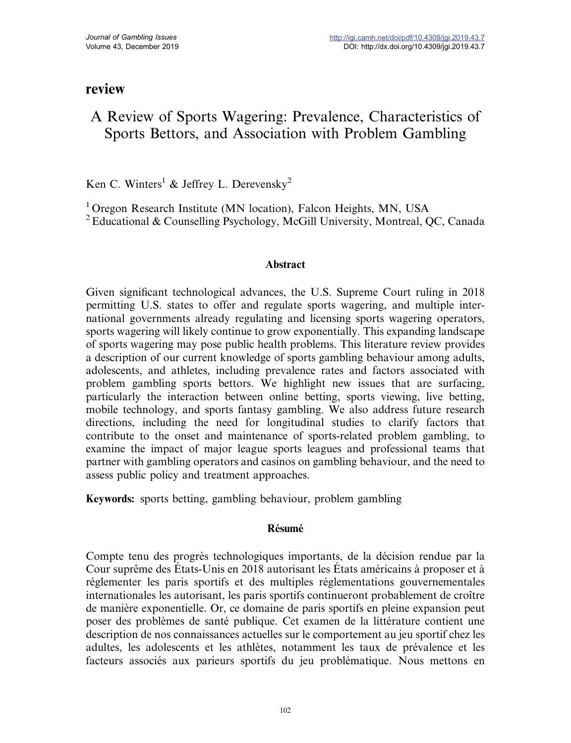## review

# A Review of Sports Wagering: Prevalence, Characteristics of Sports Bettors, and Association with Problem Gambling

Ken C. Winters<sup>1</sup> & Jeffrey L. Derevensky<sup>2</sup>

<sup>1</sup> Oregon Research Institute (MN location), Falcon Heights, MN, USA

<sup>2</sup> Educational & Counselling Psychology, McGill University, Montreal, OC, Canada

#### Abstract

Given significant technological advances, the U.S. Supreme Court ruling in 2018 permitting U.S. states to offer and regulate sports wagering, and multiple international governments already regulating and licensing sports wagering operators, sports wagering will likely continue to grow exponentially. This expanding landscape of sports wagering may pose public health problems. This literature review provides a description of our current knowledge of sports gambling behaviour among adults, adolescents, and athletes, including prevalence rates and factors associated with problem gambling sports bettors. We highlight new issues that are surfacing, particularly the interaction between online betting, sports viewing, live betting, mobile technology, and sports fantasy gambling. We also address future research directions, including the need for longitudinal studies to clarify factors that contribute to the onset and maintenance of sports-related problem gambling, to examine the impact of major league sports leagues and professional teams that partner with gambling operators and casinos on gambling behaviour, and the need to assess public policy and treatment approaches.

Keywords: sports betting, gambling behaviour, problem gambling

## Résumé

Compte tenu des progrès technologiques importants, de la décision rendue par la Cour suprême des États-Unis en 2018 autorisant les États américains à proposer et à réglementer les paris sportifs et des multiples réglementations gouvernementales internationales les autorisant, les paris sportifs continueront probablement de croître de manière exponentielle. Or, ce domaine de paris sportifs en pleine expansion peut poser des problèmes de santé publique. Cet examen de la littérature contient une description de nos connaissances actuelles sur le comportement au jeu sportif chez les adultes, les adolescents et les athlètes, notamment les taux de prévalence et les facteurs associés aux parieurs sportifs du jeu problématique. Nous mettons en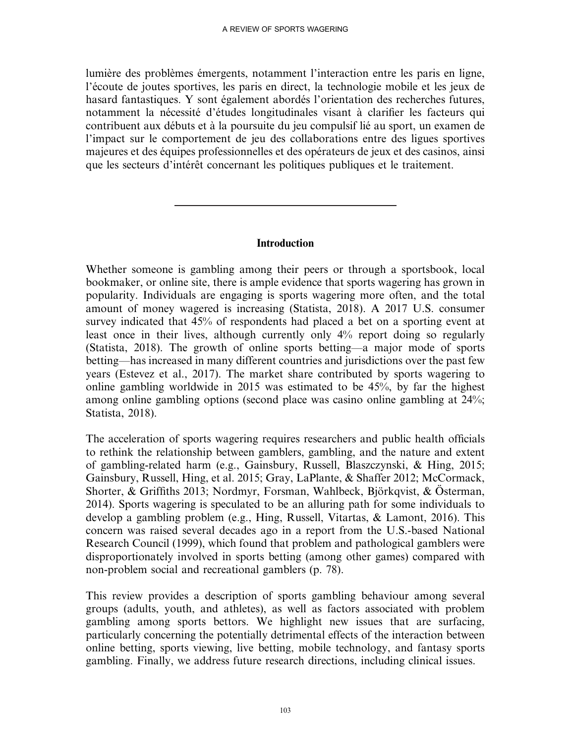lumière des problèmes émergents, notamment l'interaction entre les paris en ligne, l'écoute de joutes sportives, les paris en direct, la technologie mobile et les jeux de hasard fantastiques. Y sont également abordés l'orientation des recherches futures, notamment la nécessité d'études longitudinales visant à clarifier les facteurs qui contribuent aux débuts et à la poursuite du jeu compulsif lié au sport, un examen de l'impact sur le comportement de jeu des collaborations entre des ligues sportives majeures et des équipes professionnelles et des opérateurs de jeux et des casinos, ainsi que les secteurs d'intérêt concernant les politiques publiques et le traitement.

## Introduction

Whether someone is gambling among their peers or through a sportsbook, local bookmaker, or online site, there is ample evidence that sports wagering has grown in popularity. Individuals are engaging is sports wagering more often, and the total amount of money wagered is increasing (Statista, 2018). A 2017 U.S. consumer survey indicated that 45% of respondents had placed a bet on a sporting event at least once in their lives, although currently only 4% report doing so regularly (Statista, 2018). The growth of online sports betting—a major mode of sports betting—has increased in many different countries and jurisdictions over the past few years (Estevez et al., 2017). The market share contributed by sports wagering to online gambling worldwide in 2015 was estimated to be 45%, by far the highest among online gambling options (second place was casino online gambling at 24%; Statista, 2018).

The acceleration of sports wagering requires researchers and public health officials to rethink the relationship between gamblers, gambling, and the nature and extent of gambling-related harm (e.g., Gainsbury, Russell, Blaszczynski, & Hing, 2015; Gainsbury, Russell, Hing, et al. 2015; Gray, LaPlante, & Shaffer 2012; McCormack, Shorter, & Griffiths 2013; Nordmyr, Forsman, Wahlbeck, Björkqvist, & Österman, 2014). Sports wagering is speculated to be an alluring path for some individuals to develop a gambling problem (e.g., Hing, Russell, Vitartas, & Lamont, 2016). This concern was raised several decades ago in a report from the U.S.-based National Research Council (1999), which found that problem and pathological gamblers were disproportionately involved in sports betting (among other games) compared with non-problem social and recreational gamblers (p. 78).

This review provides a description of sports gambling behaviour among several groups (adults, youth, and athletes), as well as factors associated with problem gambling among sports bettors. We highlight new issues that are surfacing, particularly concerning the potentially detrimental effects of the interaction between online betting, sports viewing, live betting, mobile technology, and fantasy sports gambling. Finally, we address future research directions, including clinical issues.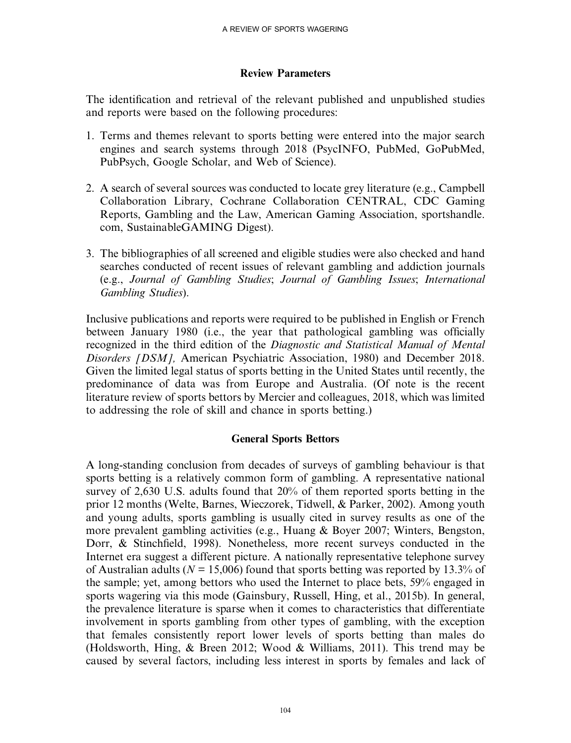## Review Parameters

The identification and retrieval of the relevant published and unpublished studies and reports were based on the following procedures:

- 1. Terms and themes relevant to sports betting were entered into the major search engines and search systems through 2018 (PsycINFO, PubMed, GoPubMed, PubPsych, Google Scholar, and Web of Science).
- 2. A search of several sources was conducted to locate grey literature (e.g., Campbell Collaboration Library, Cochrane Collaboration CENTRAL, CDC Gaming Reports, Gambling and the Law, American Gaming Association, sportshandle. com, SustainableGAMING Digest).
- 3. The bibliographies of all screened and eligible studies were also checked and hand searches conducted of recent issues of relevant gambling and addiction journals (e.g., Journal of Gambling Studies; Journal of Gambling Issues; International Gambling Studies).

Inclusive publications and reports were required to be published in English or French between January 1980 (i.e., the year that pathological gambling was officially recognized in the third edition of the Diagnostic and Statistical Manual of Mental Disorders [DSM], American Psychiatric Association, 1980) and December 2018. Given the limited legal status of sports betting in the United States until recently, the predominance of data was from Europe and Australia. (Of note is the recent literature review of sports bettors by Mercier and colleagues, 2018, which was limited to addressing the role of skill and chance in sports betting.)

## General Sports Bettors

A long-standing conclusion from decades of surveys of gambling behaviour is that sports betting is a relatively common form of gambling. A representative national survey of 2,630 U.S. adults found that 20% of them reported sports betting in the prior 12 months (Welte, Barnes, Wieczorek, Tidwell, & Parker, 2002). Among youth and young adults, sports gambling is usually cited in survey results as one of the more prevalent gambling activities (e.g., Huang & Boyer 2007; Winters, Bengston, Dorr, & Stinchfield, 1998). Nonetheless, more recent surveys conducted in the Internet era suggest a different picture. A nationally representative telephone survey of Australian adults ( $N = 15,006$ ) found that sports betting was reported by 13.3% of the sample; yet, among bettors who used the Internet to place bets, 59% engaged in sports wagering via this mode (Gainsbury, Russell, Hing, et al., 2015b). In general, the prevalence literature is sparse when it comes to characteristics that differentiate involvement in sports gambling from other types of gambling, with the exception that females consistently report lower levels of sports betting than males do (Holdsworth, Hing, & Breen 2012; Wood & Williams, 2011). This trend may be caused by several factors, including less interest in sports by females and lack of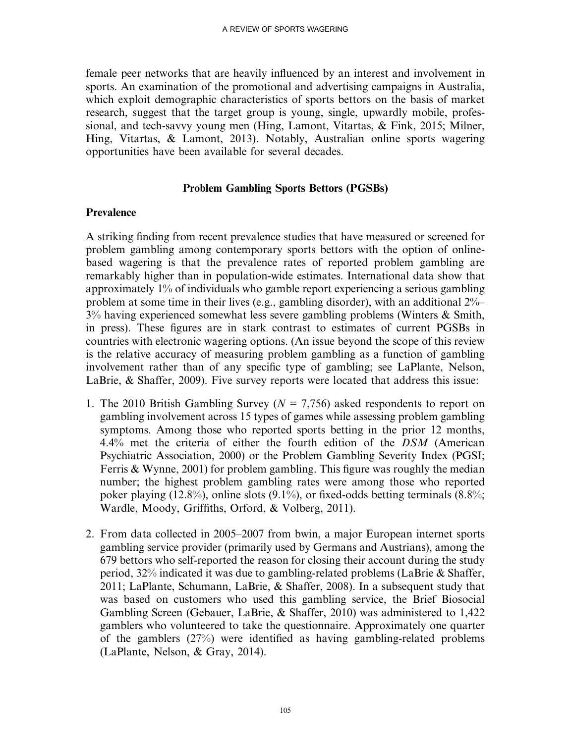female peer networks that are heavily influenced by an interest and involvement in sports. An examination of the promotional and advertising campaigns in Australia, which exploit demographic characteristics of sports bettors on the basis of market research, suggest that the target group is young, single, upwardly mobile, professional, and tech-savvy young men (Hing, Lamont, Vitartas, & Fink, 2015; Milner, Hing, Vitartas, & Lamont, 2013). Notably, Australian online sports wagering opportunities have been available for several decades.

#### Problem Gambling Sports Bettors (PGSBs)

#### Prevalence

A striking finding from recent prevalence studies that have measured or screened for problem gambling among contemporary sports bettors with the option of onlinebased wagering is that the prevalence rates of reported problem gambling are remarkably higher than in population-wide estimates. International data show that approximately 1% of individuals who gamble report experiencing a serious gambling problem at some time in their lives (e.g., gambling disorder), with an additional 2%– 3% having experienced somewhat less severe gambling problems (Winters & Smith, in press). These figures are in stark contrast to estimates of current PGSBs in countries with electronic wagering options. (An issue beyond the scope of this review is the relative accuracy of measuring problem gambling as a function of gambling involvement rather than of any specific type of gambling; see LaPlante, Nelson, LaBrie, & Shaffer, 2009). Five survey reports were located that address this issue:

- 1. The 2010 British Gambling Survey ( $N = 7,756$ ) asked respondents to report on gambling involvement across 15 types of games while assessing problem gambling symptoms. Among those who reported sports betting in the prior 12 months, 4.4% met the criteria of either the fourth edition of the DSM (American Psychiatric Association, 2000) or the Problem Gambling Severity Index (PGSI; Ferris & Wynne, 2001) for problem gambling. This figure was roughly the median number; the highest problem gambling rates were among those who reported poker playing (12.8%), online slots (9.1%), or fixed-odds betting terminals (8.8%; Wardle, Moody, Griffiths, Orford, & Volberg, 2011).
- 2. From data collected in 2005–2007 from bwin, a major European internet sports gambling service provider (primarily used by Germans and Austrians), among the 679 bettors who self-reported the reason for closing their account during the study period, 32% indicated it was due to gambling-related problems (LaBrie & Shaffer, 2011; LaPlante, Schumann, LaBrie, & Shaffer, 2008). In a subsequent study that was based on customers who used this gambling service, the Brief Biosocial Gambling Screen (Gebauer, LaBrie, & Shaffer, 2010) was administered to 1,422 gamblers who volunteered to take the questionnaire. Approximately one quarter of the gamblers (27%) were identified as having gambling-related problems (LaPlante, Nelson, & Gray, 2014).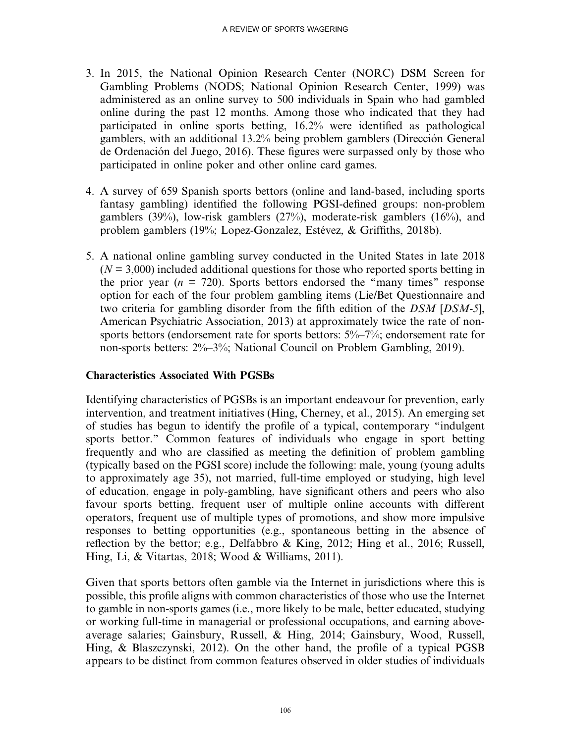- 3. In 2015, the National Opinion Research Center (NORC) DSM Screen for Gambling Problems (NODS; National Opinion Research Center, 1999) was administered as an online survey to 500 individuals in Spain who had gambled online during the past 12 months. Among those who indicated that they had participated in online sports betting, 16.2% were identified as pathological gamblers, with an additional 13.2% being problem gamblers (Dirección General de Ordenación del Juego, 2016). These figures were surpassed only by those who participated in online poker and other online card games.
- 4. A survey of 659 Spanish sports bettors (online and land-based, including sports fantasy gambling) identified the following PGSI-defined groups: non-problem gamblers (39%), low-risk gamblers (27%), moderate-risk gamblers (16%), and problem gamblers (19%; Lopez-Gonzalez, Estévez, & Griffiths, 2018b).
- 5. A national online gambling survey conducted in the United States in late 2018  $(N = 3,000)$  included additional questions for those who reported sports betting in the prior year ( $n = 720$ ). Sports bettors endorsed the "many times" response option for each of the four problem gambling items (Lie/Bet Questionnaire and two criteria for gambling disorder from the fifth edition of the DSM [DSM-5], American Psychiatric Association, 2013) at approximately twice the rate of nonsports bettors (endorsement rate for sports bettors:  $5\% - 7\%$ ; endorsement rate for non-sports betters: 2%–3%; National Council on Problem Gambling, 2019).

## Characteristics Associated With PGSBs

Identifying characteristics of PGSBs is an important endeavour for prevention, early intervention, and treatment initiatives (Hing, Cherney, et al., 2015). An emerging set of studies has begun to identify the profile of a typical, contemporary ''indulgent sports bettor.'' Common features of individuals who engage in sport betting frequently and who are classified as meeting the definition of problem gambling (typically based on the PGSI score) include the following: male, young (young adults to approximately age 35), not married, full-time employed or studying, high level of education, engage in poly-gambling, have significant others and peers who also favour sports betting, frequent user of multiple online accounts with different operators, frequent use of multiple types of promotions, and show more impulsive responses to betting opportunities (e.g., spontaneous betting in the absence of reflection by the bettor; e.g., Delfabbro & King, 2012; Hing et al., 2016; Russell, Hing, Li, & Vitartas, 2018; Wood & Williams, 2011).

Given that sports bettors often gamble via the Internet in jurisdictions where this is possible, this profile aligns with common characteristics of those who use the Internet to gamble in non-sports games (i.e., more likely to be male, better educated, studying or working full-time in managerial or professional occupations, and earning aboveaverage salaries; Gainsbury, Russell, & Hing, 2014; Gainsbury, Wood, Russell, Hing, & Blaszczynski, 2012). On the other hand, the profile of a typical PGSB appears to be distinct from common features observed in older studies of individuals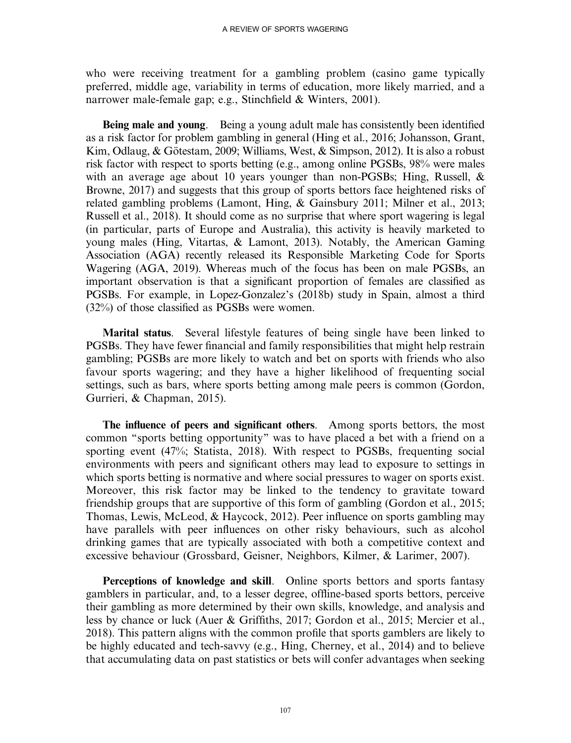who were receiving treatment for a gambling problem (casino game typically preferred, middle age, variability in terms of education, more likely married, and a narrower male-female gap; e.g., Stinchfield & Winters, 2001).

Being male and young. Being a young adult male has consistently been identified as a risk factor for problem gambling in general (Hing et al., 2016; Johansson, Grant, Kim, Odlaug, & Götestam, 2009; Williams, West, & Simpson, 2012). It is also a robust risk factor with respect to sports betting (e.g., among online PGSBs, 98% were males with an average age about 10 years younger than non-PGSBs; Hing, Russell, & Browne, 2017) and suggests that this group of sports bettors face heightened risks of related gambling problems (Lamont, Hing, & Gainsbury 2011; Milner et al., 2013; Russell et al., 2018). It should come as no surprise that where sport wagering is legal (in particular, parts of Europe and Australia), this activity is heavily marketed to young males (Hing, Vitartas, & Lamont, 2013). Notably, the American Gaming Association (AGA) recently released its Responsible Marketing Code for Sports Wagering (AGA, 2019). Whereas much of the focus has been on male PGSBs, an important observation is that a significant proportion of females are classified as PGSBs. For example, in Lopez-Gonzalez's (2018b) study in Spain, almost a third (32%) of those classified as PGSBs were women.

Marital status. Several lifestyle features of being single have been linked to PGSBs. They have fewer financial and family responsibilities that might help restrain gambling; PGSBs are more likely to watch and bet on sports with friends who also favour sports wagering; and they have a higher likelihood of frequenting social settings, such as bars, where sports betting among male peers is common (Gordon, Gurrieri, & Chapman, 2015).

The influence of peers and significant others. Among sports bettors, the most common ''sports betting opportunity'' was to have placed a bet with a friend on a sporting event (47%; Statista, 2018). With respect to PGSBs, frequenting social environments with peers and significant others may lead to exposure to settings in which sports betting is normative and where social pressures to wager on sports exist. Moreover, this risk factor may be linked to the tendency to gravitate toward friendship groups that are supportive of this form of gambling (Gordon et al., 2015; Thomas, Lewis, McLeod, & Haycock, 2012). Peer influence on sports gambling may have parallels with peer influences on other risky behaviours, such as alcohol drinking games that are typically associated with both a competitive context and excessive behaviour (Grossbard, Geisner, Neighbors, Kilmer, & Larimer, 2007).

Perceptions of knowledge and skill. Online sports bettors and sports fantasy gamblers in particular, and, to a lesser degree, offline-based sports bettors, perceive their gambling as more determined by their own skills, knowledge, and analysis and less by chance or luck (Auer & Griffiths, 2017; Gordon et al., 2015; Mercier et al., 2018). This pattern aligns with the common profile that sports gamblers are likely to be highly educated and tech-savvy (e.g., Hing, Cherney, et al., 2014) and to believe that accumulating data on past statistics or bets will confer advantages when seeking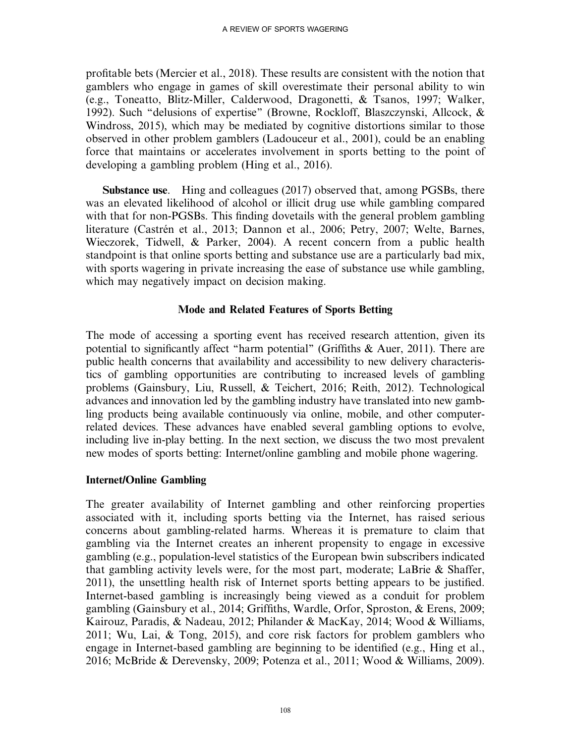profitable bets (Mercier et al., 2018). These results are consistent with the notion that gamblers who engage in games of skill overestimate their personal ability to win (e.g., Toneatto, Blitz-Miller, Calderwood, Dragonetti, & Tsanos, 1997; Walker, 1992). Such ''delusions of expertise'' (Browne, Rockloff, Blaszczynski, Allcock, & Windross, 2015), which may be mediated by cognitive distortions similar to those observed in other problem gamblers (Ladouceur et al., 2001), could be an enabling force that maintains or accelerates involvement in sports betting to the point of developing a gambling problem (Hing et al., 2016).

Substance use. Hing and colleagues (2017) observed that, among PGSBs, there was an elevated likelihood of alcohol or illicit drug use while gambling compared with that for non-PGSBs. This finding dovetails with the general problem gambling literature (Castrén et al., 2013; Dannon et al., 2006; Petry, 2007; Welte, Barnes, Wieczorek, Tidwell, & Parker, 2004). A recent concern from a public health standpoint is that online sports betting and substance use are a particularly bad mix, with sports wagering in private increasing the ease of substance use while gambling, which may negatively impact on decision making.

## Mode and Related Features of Sports Betting

The mode of accessing a sporting event has received research attention, given its potential to significantly affect ''harm potential'' (Griffiths & Auer, 2011). There are public health concerns that availability and accessibility to new delivery characteristics of gambling opportunities are contributing to increased levels of gambling problems (Gainsbury, Liu, Russell, & Teichert, 2016; Reith, 2012). Technological advances and innovation led by the gambling industry have translated into new gambling products being available continuously via online, mobile, and other computerrelated devices. These advances have enabled several gambling options to evolve, including live in-play betting. In the next section, we discuss the two most prevalent new modes of sports betting: Internet/online gambling and mobile phone wagering.

#### Internet/Online Gambling

The greater availability of Internet gambling and other reinforcing properties associated with it, including sports betting via the Internet, has raised serious concerns about gambling-related harms. Whereas it is premature to claim that gambling via the Internet creates an inherent propensity to engage in excessive gambling (e.g., population-level statistics of the European bwin subscribers indicated that gambling activity levels were, for the most part, moderate; LaBrie & Shaffer, 2011), the unsettling health risk of Internet sports betting appears to be justified. Internet-based gambling is increasingly being viewed as a conduit for problem gambling (Gainsbury et al., 2014; Griffiths, Wardle, Orfor, Sproston, & Erens, 2009; Kairouz, Paradis, & Nadeau, 2012; Philander & MacKay, 2014; Wood & Williams, 2011; Wu, Lai, & Tong, 2015), and core risk factors for problem gamblers who engage in Internet-based gambling are beginning to be identified (e.g., Hing et al., 2016; McBride & Derevensky, 2009; Potenza et al., 2011; Wood & Williams, 2009).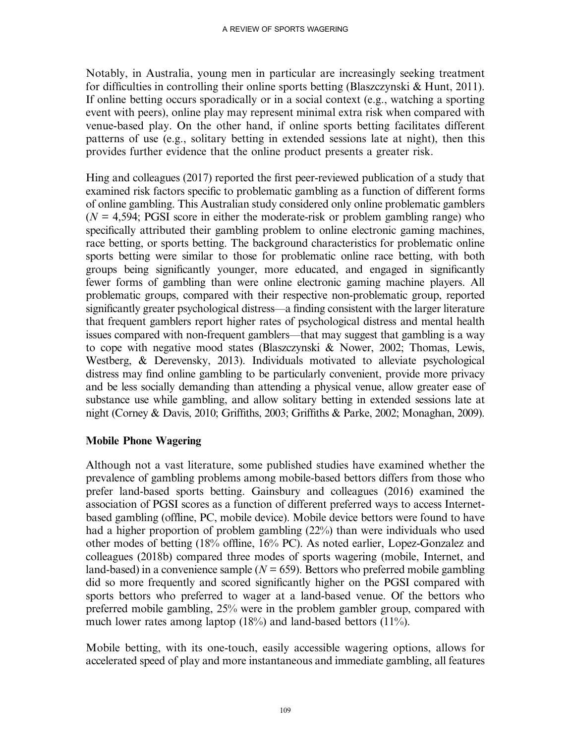Notably, in Australia, young men in particular are increasingly seeking treatment for difficulties in controlling their online sports betting (Blaszczynski & Hunt, 2011). If online betting occurs sporadically or in a social context (e.g., watching a sporting event with peers), online play may represent minimal extra risk when compared with venue-based play. On the other hand, if online sports betting facilitates different patterns of use (e.g., solitary betting in extended sessions late at night), then this provides further evidence that the online product presents a greater risk.

Hing and colleagues (2017) reported the first peer-reviewed publication of a study that examined risk factors specific to problematic gambling as a function of different forms of online gambling. This Australian study considered only online problematic gamblers  $(N = 4.594$ ; PGSI score in either the moderate-risk or problem gambling range) who specifically attributed their gambling problem to online electronic gaming machines, race betting, or sports betting. The background characteristics for problematic online sports betting were similar to those for problematic online race betting, with both groups being significantly younger, more educated, and engaged in significantly fewer forms of gambling than were online electronic gaming machine players. All problematic groups, compared with their respective non-problematic group, reported significantly greater psychological distress—a finding consistent with the larger literature that frequent gamblers report higher rates of psychological distress and mental health issues compared with non-frequent gamblers—that may suggest that gambling is a way to cope with negative mood states (Blaszczynski & Nower, 2002; Thomas, Lewis, Westberg, & Derevensky, 2013). Individuals motivated to alleviate psychological distress may find online gambling to be particularly convenient, provide more privacy and be less socially demanding than attending a physical venue, allow greater ease of substance use while gambling, and allow solitary betting in extended sessions late at night (Corney & Davis, 2010; Griffiths, 2003; Griffiths & Parke, 2002; Monaghan, 2009).

## Mobile Phone Wagering

Although not a vast literature, some published studies have examined whether the prevalence of gambling problems among mobile-based bettors differs from those who prefer land-based sports betting. Gainsbury and colleagues (2016) examined the association of PGSI scores as a function of different preferred ways to access Internetbased gambling (offline, PC, mobile device). Mobile device bettors were found to have had a higher proportion of problem gambling (22%) than were individuals who used other modes of betting (18% offline, 16% PC). As noted earlier, Lopez-Gonzalez and colleagues (2018b) compared three modes of sports wagering (mobile, Internet, and land-based) in a convenience sample ( $N = 659$ ). Bettors who preferred mobile gambling did so more frequently and scored significantly higher on the PGSI compared with sports bettors who preferred to wager at a land-based venue. Of the bettors who preferred mobile gambling, 25% were in the problem gambler group, compared with much lower rates among laptop (18%) and land-based bettors (11%).

Mobile betting, with its one-touch, easily accessible wagering options, allows for accelerated speed of play and more instantaneous and immediate gambling, all features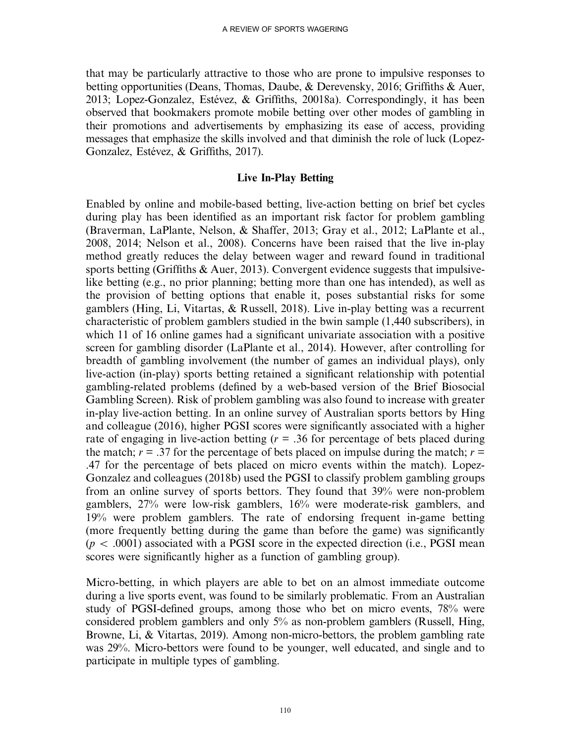that may be particularly attractive to those who are prone to impulsive responses to betting opportunities (Deans, Thomas, Daube, & Derevensky, 2016; Griffiths & Auer, 2013; Lopez-Gonzalez, Estévez, & Griffiths, 20018a). Correspondingly, it has been observed that bookmakers promote mobile betting over other modes of gambling in their promotions and advertisements by emphasizing its ease of access, providing messages that emphasize the skills involved and that diminish the role of luck (Lopez-Gonzalez, Estévez, & Griffiths, 2017).

#### Live In-Play Betting

Enabled by online and mobile-based betting, live-action betting on brief bet cycles during play has been identified as an important risk factor for problem gambling (Braverman, LaPlante, Nelson, & Shaffer, 2013; Gray et al., 2012; LaPlante et al., 2008, 2014; Nelson et al., 2008). Concerns have been raised that the live in-play method greatly reduces the delay between wager and reward found in traditional sports betting (Griffiths & Auer, 2013). Convergent evidence suggests that impulsivelike betting (e.g., no prior planning; betting more than one has intended), as well as the provision of betting options that enable it, poses substantial risks for some gamblers (Hing, Li, Vitartas, & Russell, 2018). Live in-play betting was a recurrent characteristic of problem gamblers studied in the bwin sample (1,440 subscribers), in which 11 of 16 online games had a significant univariate association with a positive screen for gambling disorder (LaPlante et al., 2014). However, after controlling for breadth of gambling involvement (the number of games an individual plays), only live-action (in-play) sports betting retained a significant relationship with potential gambling-related problems (defined by a web-based version of the Brief Biosocial Gambling Screen). Risk of problem gambling was also found to increase with greater in-play live-action betting. In an online survey of Australian sports bettors by Hing and colleague (2016), higher PGSI scores were significantly associated with a higher rate of engaging in live-action betting ( $r = .36$  for percentage of bets placed during the match;  $r = .37$  for the percentage of bets placed on impulse during the match;  $r =$ .47 for the percentage of bets placed on micro events within the match). Lopez-Gonzalez and colleagues (2018b) used the PGSI to classify problem gambling groups from an online survey of sports bettors. They found that 39% were non-problem gamblers, 27% were low-risk gamblers, 16% were moderate-risk gamblers, and 19% were problem gamblers. The rate of endorsing frequent in-game betting (more frequently betting during the game than before the game) was significantly  $(p < .0001)$  associated with a PGSI score in the expected direction (i.e., PGSI mean scores were significantly higher as a function of gambling group).

Micro-betting, in which players are able to bet on an almost immediate outcome during a live sports event, was found to be similarly problematic. From an Australian study of PGSI-defined groups, among those who bet on micro events, 78% were considered problem gamblers and only 5% as non-problem gamblers (Russell, Hing, Browne, Li, & Vitartas, 2019). Among non-micro-bettors, the problem gambling rate was 29%. Micro-bettors were found to be younger, well educated, and single and to participate in multiple types of gambling.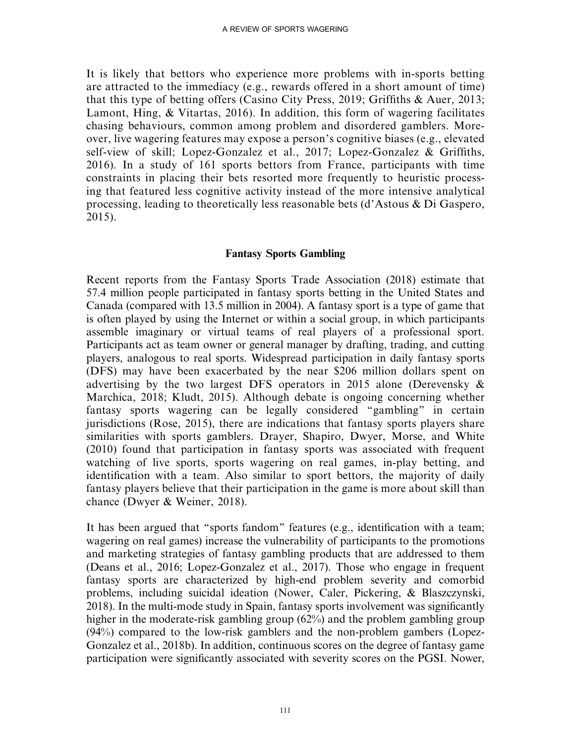It is likely that bettors who experience more problems with in-sports betting are attracted to the immediacy (e.g., rewards offered in a short amount of time) that this type of betting offers (Casino City Press, 2019; Griffiths & Auer, 2013; Lamont, Hing, & Vitartas, 2016). In addition, this form of wagering facilitates chasing behaviours, common among problem and disordered gamblers. Moreover, live wagering features may expose a person's cognitive biases (e.g., elevated self-view of skill; Lopez-Gonzalez et al., 2017; Lopez-Gonzalez & Griffiths, 2016). In a study of 161 sports bettors from France, participants with time constraints in placing their bets resorted more frequently to heuristic processing that featured less cognitive activity instead of the more intensive analytical processing, leading to theoretically less reasonable bets (d'Astous & Di Gaspero, 2015).

## Fantasy Sports Gambling

Recent reports from the Fantasy Sports Trade Association (2018) estimate that 57.4 million people participated in fantasy sports betting in the United States and Canada (compared with 13.5 million in 2004). A fantasy sport is a type of game that is often played by using the Internet or within a social group, in which participants assemble imaginary or virtual teams of real players of a professional sport. Participants act as team owner or general manager by drafting, trading, and cutting players, analogous to real sports. Widespread participation in daily fantasy sports (DFS) may have been exacerbated by the near \$206 million dollars spent on advertising by the two largest DFS operators in 2015 alone (Derevensky & Marchica, 2018; Kludt, 2015). Although debate is ongoing concerning whether fantasy sports wagering can be legally considered ''gambling'' in certain jurisdictions (Rose, 2015), there are indications that fantasy sports players share similarities with sports gamblers. Drayer, Shapiro, Dwyer, Morse, and White (2010) found that participation in fantasy sports was associated with frequent watching of live sports, sports wagering on real games, in-play betting, and identification with a team. Also similar to sport bettors, the majority of daily fantasy players believe that their participation in the game is more about skill than chance (Dwyer & Weiner, 2018).

It has been argued that ''sports fandom'' features (e.g., identification with a team; wagering on real games) increase the vulnerability of participants to the promotions and marketing strategies of fantasy gambling products that are addressed to them (Deans et al., 2016; Lopez-Gonzalez et al., 2017). Those who engage in frequent fantasy sports are characterized by high-end problem severity and comorbid problems, including suicidal ideation (Nower, Caler, Pickering, & Blaszczynski, 2018). In the multi-mode study in Spain, fantasy sports involvement was significantly higher in the moderate-risk gambling group (62%) and the problem gambling group (94%) compared to the low-risk gamblers and the non-problem gambers (Lopez-Gonzalez et al., 2018b). In addition, continuous scores on the degree of fantasy game participation were significantly associated with severity scores on the PGSI. Nower,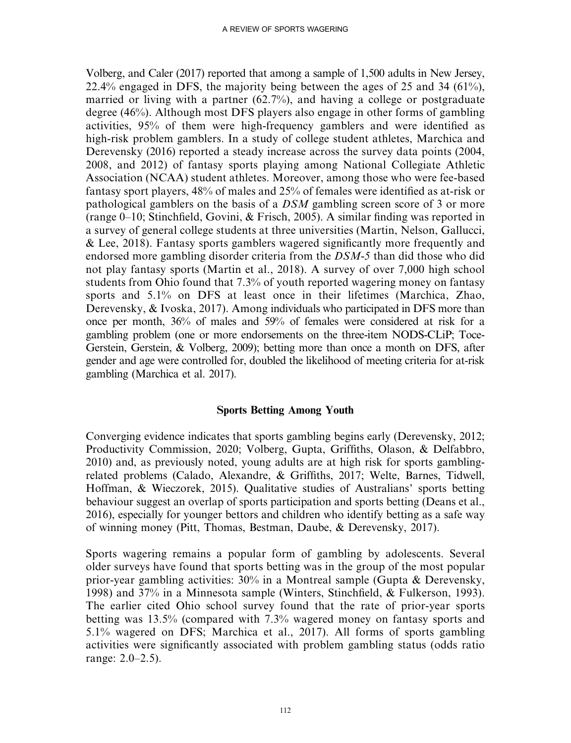Volberg, and Caler (2017) reported that among a sample of 1,500 adults in New Jersey, 22.4% engaged in DFS, the majority being between the ages of 25 and 34  $(61\%)$ . married or living with a partner (62.7%), and having a college or postgraduate degree (46%). Although most DFS players also engage in other forms of gambling activities, 95% of them were high-frequency gamblers and were identified as high-risk problem gamblers. In a study of college student athletes, Marchica and Derevensky (2016) reported a steady increase across the survey data points (2004, 2008, and 2012) of fantasy sports playing among National Collegiate Athletic Association (NCAA) student athletes. Moreover, among those who were fee-based fantasy sport players, 48% of males and 25% of females were identified as at-risk or pathological gamblers on the basis of a DSM gambling screen score of 3 or more (range 0–10; Stinchfield, Govini, & Frisch, 2005). A similar finding was reported in a survey of general college students at three universities (Martin, Nelson, Gallucci, & Lee, 2018). Fantasy sports gamblers wagered significantly more frequently and endorsed more gambling disorder criteria from the DSM-5 than did those who did not play fantasy sports (Martin et al., 2018). A survey of over 7,000 high school students from Ohio found that 7.3% of youth reported wagering money on fantasy sports and 5.1% on DFS at least once in their lifetimes (Marchica, Zhao, Derevensky, & Ivoska, 2017). Among individuals who participated in DFS more than once per month, 36% of males and 59% of females were considered at risk for a gambling problem (one or more endorsements on the three-item NODS-CLiP; Toce-Gerstein, Gerstein, & Volberg, 2009); betting more than once a month on DFS, after gender and age were controlled for, doubled the likelihood of meeting criteria for at-risk gambling (Marchica et al. 2017).

#### Sports Betting Among Youth

Converging evidence indicates that sports gambling begins early (Derevensky, 2012; Productivity Commission, 2020; Volberg, Gupta, Griffiths, Olason, & Delfabbro, 2010) and, as previously noted, young adults are at high risk for sports gamblingrelated problems (Calado, Alexandre, & Griffiths, 2017; Welte, Barnes, Tidwell, Hoffman, & Wieczorek, 2015). Qualitative studies of Australians' sports betting behaviour suggest an overlap of sports participation and sports betting (Deans et al., 2016), especially for younger bettors and children who identify betting as a safe way of winning money (Pitt, Thomas, Bestman, Daube, & Derevensky, 2017).

Sports wagering remains a popular form of gambling by adolescents. Several older surveys have found that sports betting was in the group of the most popular prior-year gambling activities: 30% in a Montreal sample (Gupta & Derevensky, 1998) and 37% in a Minnesota sample (Winters, Stinchfield, & Fulkerson, 1993). The earlier cited Ohio school survey found that the rate of prior-year sports betting was 13.5% (compared with 7.3% wagered money on fantasy sports and 5.1% wagered on DFS; Marchica et al., 2017). All forms of sports gambling activities were significantly associated with problem gambling status (odds ratio range: 2.0–2.5).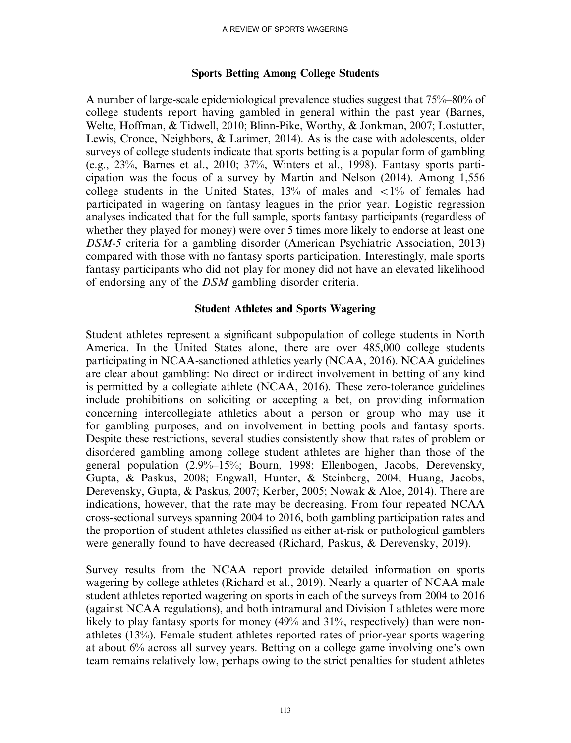#### Sports Betting Among College Students

A number of large-scale epidemiological prevalence studies suggest that 75%–80% of college students report having gambled in general within the past year (Barnes, Welte, Hoffman, & Tidwell, 2010; Blinn-Pike, Worthy, & Jonkman, 2007; Lostutter, Lewis, Cronce, Neighbors, & Larimer, 2014). As is the case with adolescents, older surveys of college students indicate that sports betting is a popular form of gambling (e.g., 23%, Barnes et al., 2010; 37%, Winters et al., 1998). Fantasy sports participation was the focus of a survey by Martin and Nelson (2014). Among 1,556 college students in the United States, 13% of males and  $\langle 1\%$  of females had participated in wagering on fantasy leagues in the prior year. Logistic regression analyses indicated that for the full sample, sports fantasy participants (regardless of whether they played for money) were over 5 times more likely to endorse at least one DSM-5 criteria for a gambling disorder (American Psychiatric Association, 2013) compared with those with no fantasy sports participation. Interestingly, male sports fantasy participants who did not play for money did not have an elevated likelihood of endorsing any of the DSM gambling disorder criteria.

#### Student Athletes and Sports Wagering

Student athletes represent a significant subpopulation of college students in North America. In the United States alone, there are over 485,000 college students participating in NCAA-sanctioned athletics yearly (NCAA, 2016). NCAA guidelines are clear about gambling: No direct or indirect involvement in betting of any kind is permitted by a collegiate athlete (NCAA, 2016). These zero-tolerance guidelines include prohibitions on soliciting or accepting a bet, on providing information concerning intercollegiate athletics about a person or group who may use it for gambling purposes, and on involvement in betting pools and fantasy sports. Despite these restrictions, several studies consistently show that rates of problem or disordered gambling among college student athletes are higher than those of the general population (2.9%–15%; Bourn, 1998; Ellenbogen, Jacobs, Derevensky, Gupta, & Paskus, 2008; Engwall, Hunter, & Steinberg, 2004; Huang, Jacobs, Derevensky, Gupta, & Paskus, 2007; Kerber, 2005; Nowak & Aloe, 2014). There are indications, however, that the rate may be decreasing. From four repeated NCAA cross-sectional surveys spanning 2004 to 2016, both gambling participation rates and the proportion of student athletes classified as either at-risk or pathological gamblers were generally found to have decreased (Richard, Paskus, & Derevensky, 2019).

Survey results from the NCAA report provide detailed information on sports wagering by college athletes (Richard et al., 2019). Nearly a quarter of NCAA male student athletes reported wagering on sports in each of the surveys from 2004 to 2016 (against NCAA regulations), and both intramural and Division I athletes were more likely to play fantasy sports for money (49% and 31%, respectively) than were nonathletes (13%). Female student athletes reported rates of prior-year sports wagering at about 6% across all survey years. Betting on a college game involving one's own team remains relatively low, perhaps owing to the strict penalties for student athletes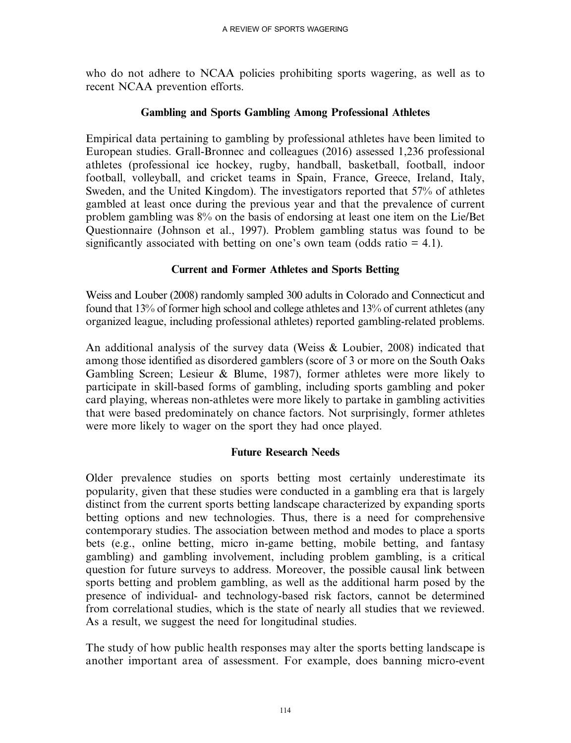who do not adhere to NCAA policies prohibiting sports wagering, as well as to recent NCAA prevention efforts.

## Gambling and Sports Gambling Among Professional Athletes

Empirical data pertaining to gambling by professional athletes have been limited to European studies. Grall-Bronnec and colleagues (2016) assessed 1,236 professional athletes (professional ice hockey, rugby, handball, basketball, football, indoor football, volleyball, and cricket teams in Spain, France, Greece, Ireland, Italy, Sweden, and the United Kingdom). The investigators reported that 57% of athletes gambled at least once during the previous year and that the prevalence of current problem gambling was 8% on the basis of endorsing at least one item on the Lie/Bet Questionnaire (Johnson et al., 1997). Problem gambling status was found to be significantly associated with betting on one's own team (odds ratio  $= 4.1$ ).

## Current and Former Athletes and Sports Betting

Weiss and Louber (2008) randomly sampled 300 adults in Colorado and Connecticut and found that 13% of former high school and college athletes and 13% of current athletes (any organized league, including professional athletes) reported gambling-related problems.

An additional analysis of the survey data (Weiss & Loubier, 2008) indicated that among those identified as disordered gamblers (score of 3 or more on the South Oaks Gambling Screen; Lesieur & Blume, 1987), former athletes were more likely to participate in skill-based forms of gambling, including sports gambling and poker card playing, whereas non-athletes were more likely to partake in gambling activities that were based predominately on chance factors. Not surprisingly, former athletes were more likely to wager on the sport they had once played.

## Future Research Needs

Older prevalence studies on sports betting most certainly underestimate its popularity, given that these studies were conducted in a gambling era that is largely distinct from the current sports betting landscape characterized by expanding sports betting options and new technologies. Thus, there is a need for comprehensive contemporary studies. The association between method and modes to place a sports bets (e.g., online betting, micro in-game betting, mobile betting, and fantasy gambling) and gambling involvement, including problem gambling, is a critical question for future surveys to address. Moreover, the possible causal link between sports betting and problem gambling, as well as the additional harm posed by the presence of individual- and technology-based risk factors, cannot be determined from correlational studies, which is the state of nearly all studies that we reviewed. As a result, we suggest the need for longitudinal studies.

The study of how public health responses may alter the sports betting landscape is another important area of assessment. For example, does banning micro-event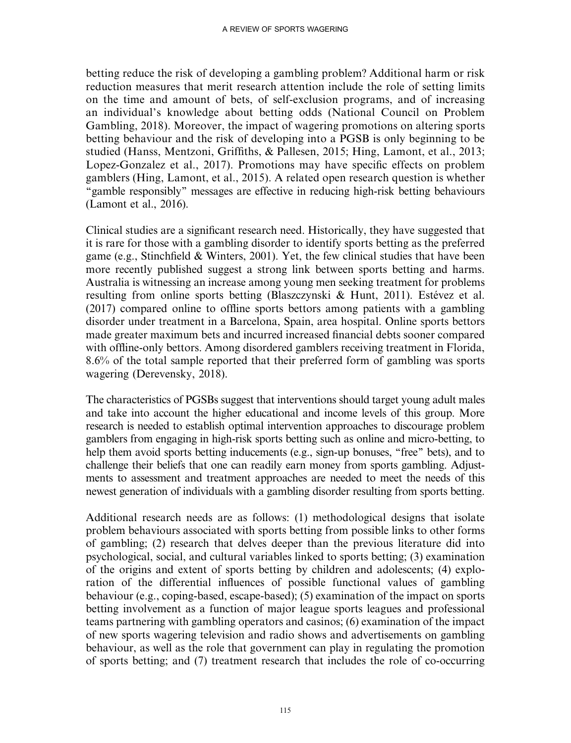betting reduce the risk of developing a gambling problem? Additional harm or risk reduction measures that merit research attention include the role of setting limits on the time and amount of bets, of self-exclusion programs, and of increasing an individual's knowledge about betting odds (National Council on Problem Gambling, 2018). Moreover, the impact of wagering promotions on altering sports betting behaviour and the risk of developing into a PGSB is only beginning to be studied (Hanss, Mentzoni, Griffiths, & Pallesen, 2015; Hing, Lamont, et al., 2013; Lopez-Gonzalez et al., 2017). Promotions may have specific effects on problem gamblers (Hing, Lamont, et al., 2015). A related open research question is whether ''gamble responsibly'' messages are effective in reducing high-risk betting behaviours (Lamont et al., 2016).

Clinical studies are a significant research need. Historically, they have suggested that it is rare for those with a gambling disorder to identify sports betting as the preferred game (e.g., Stinchfield & Winters, 2001). Yet, the few clinical studies that have been more recently published suggest a strong link between sports betting and harms. Australia is witnessing an increase among young men seeking treatment for problems resulting from online sports betting (Blaszczynski & Hunt, 2011). Estévez et al. (2017) compared online to offline sports bettors among patients with a gambling disorder under treatment in a Barcelona, Spain, area hospital. Online sports bettors made greater maximum bets and incurred increased financial debts sooner compared with offline-only bettors. Among disordered gamblers receiving treatment in Florida, 8.6% of the total sample reported that their preferred form of gambling was sports wagering (Derevensky, 2018).

The characteristics of PGSBs suggest that interventions should target young adult males and take into account the higher educational and income levels of this group. More research is needed to establish optimal intervention approaches to discourage problem gamblers from engaging in high-risk sports betting such as online and micro-betting, to help them avoid sports betting inducements (e.g., sign-up bonuses, "free" bets), and to challenge their beliefs that one can readily earn money from sports gambling. Adjustments to assessment and treatment approaches are needed to meet the needs of this newest generation of individuals with a gambling disorder resulting from sports betting.

Additional research needs are as follows: (1) methodological designs that isolate problem behaviours associated with sports betting from possible links to other forms of gambling; (2) research that delves deeper than the previous literature did into psychological, social, and cultural variables linked to sports betting; (3) examination of the origins and extent of sports betting by children and adolescents; (4) exploration of the differential influences of possible functional values of gambling behaviour (e.g., coping-based, escape-based); (5) examination of the impact on sports betting involvement as a function of major league sports leagues and professional teams partnering with gambling operators and casinos; (6) examination of the impact of new sports wagering television and radio shows and advertisements on gambling behaviour, as well as the role that government can play in regulating the promotion of sports betting; and (7) treatment research that includes the role of co-occurring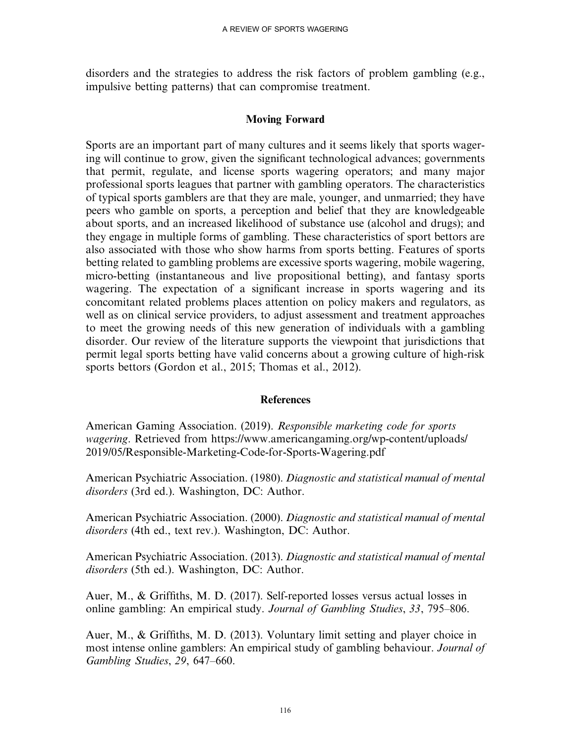disorders and the strategies to address the risk factors of problem gambling (e.g., impulsive betting patterns) that can compromise treatment.

#### Moving Forward

Sports are an important part of many cultures and it seems likely that sports wagering will continue to grow, given the significant technological advances; governments that permit, regulate, and license sports wagering operators; and many major professional sports leagues that partner with gambling operators. The characteristics of typical sports gamblers are that they are male, younger, and unmarried; they have peers who gamble on sports, a perception and belief that they are knowledgeable about sports, and an increased likelihood of substance use (alcohol and drugs); and they engage in multiple forms of gambling. These characteristics of sport bettors are also associated with those who show harms from sports betting. Features of sports betting related to gambling problems are excessive sports wagering, mobile wagering, micro-betting (instantaneous and live propositional betting), and fantasy sports wagering. The expectation of a significant increase in sports wagering and its concomitant related problems places attention on policy makers and regulators, as well as on clinical service providers, to adjust assessment and treatment approaches to meet the growing needs of this new generation of individuals with a gambling disorder. Our review of the literature supports the viewpoint that jurisdictions that permit legal sports betting have valid concerns about a growing culture of high-risk sports bettors (Gordon et al., 2015; Thomas et al., 2012).

#### References

American Gaming Association. (2019). Responsible marketing code for sports wagering. Retrieved from [https://www.americangaming.org/wp-content/uploads/](https://www.americangaming.org/wp-content/uploads/2019/05/Responsible-Marketing-Code-for-Sports-Wagering.pdf) [2019/05/Responsible-Marketing-Code-for-Sports-Wagering.pdf](https://www.americangaming.org/wp-content/uploads/2019/05/Responsible-Marketing-Code-for-Sports-Wagering.pdf)

American Psychiatric Association. (1980). Diagnostic and statistical manual of mental disorders (3rd ed.). Washington, DC: Author.

American Psychiatric Association. (2000). Diagnostic and statistical manual of mental disorders (4th ed., text rev.). Washington, DC: Author.

American Psychiatric Association. (2013). Diagnostic and statistical manual of mental disorders (5th ed.). Washington, DC: Author.

Auer, M., & Griffiths, M. D. (2017). Self-reported losses versus actual losses in online gambling: An empirical study. Journal of Gambling Studies, 33, 795–806.

Auer, M., & Griffiths, M. D. (2013). Voluntary limit setting and player choice in most intense online gamblers: An empirical study of gambling behaviour. Journal of Gambling Studies, 29, 647–660.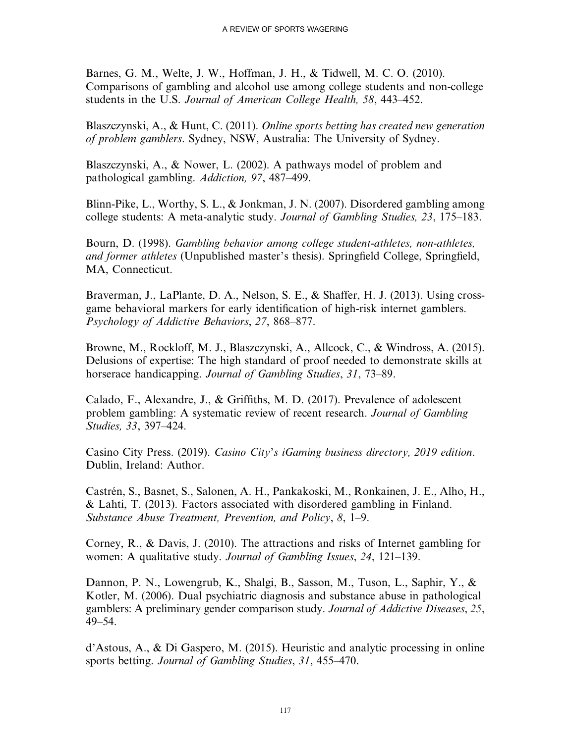Barnes, G. M., Welte, J. W., Hoffman, J. H., & Tidwell, M. C. O. (2010). Comparisons of gambling and alcohol use among college students and non-college students in the U.S. Journal of American College Health, 58, 443–452.

Blaszczynski, A., & Hunt, C. (2011). Online sports betting has created new generation of problem gamblers. Sydney, NSW, Australia: The University of Sydney.

Blaszczynski, A., & Nower, L. (2002). A pathways model of problem and pathological gambling. Addiction, 97, 487–499.

Blinn-Pike, L., Worthy, S. L., & Jonkman, J. N. (2007). Disordered gambling among college students: A meta-analytic study. Journal of Gambling Studies, 23, 175–183.

Bourn, D. (1998). Gambling behavior among college student-athletes, non-athletes, and former athletes (Unpublished master's thesis). Springfield College, Springfield, MA, Connecticut.

Braverman, J., LaPlante, D. A., Nelson, S. E., & Shaffer, H. J. (2013). Using crossgame behavioral markers for early identification of high-risk internet gamblers. Psychology of Addictive Behaviors, 27, 868–877.

Browne, M., Rockloff, M. J., Blaszczynski, A., Allcock, C., & Windross, A. (2015). Delusions of expertise: The high standard of proof needed to demonstrate skills at horserace handicapping. Journal of Gambling Studies, 31, 73–89.

Calado, F., Alexandre, J., & Griffiths, M. D. (2017). Prevalence of adolescent problem gambling: A systematic review of recent research. Journal of Gambling Studies, 33, 397–424.

Casino City Press. (2019). Casino City's iGaming business directory, 2019 edition. Dublin, Ireland: Author.

Castrén, S., Basnet, S., Salonen, A. H., Pankakoski, M., Ronkainen, J. E., Alho, H., & Lahti, T. (2013). Factors associated with disordered gambling in Finland. Substance Abuse Treatment, Prevention, and Policy, 8, 1–9.

Corney, R., & Davis, J. (2010). The attractions and risks of Internet gambling for women: A qualitative study. *Journal of Gambling Issues*, 24, 121–139.

Dannon, P. N., Lowengrub, K., Shalgi, B., Sasson, M., Tuson, L., Saphir, Y., & Kotler, M. (2006). Dual psychiatric diagnosis and substance abuse in pathological gamblers: A preliminary gender comparison study. Journal of Addictive Diseases, 25, 49–54.

d'Astous, A., & Di Gaspero, M. (2015). Heuristic and analytic processing in online sports betting. Journal of Gambling Studies, 31, 455–470.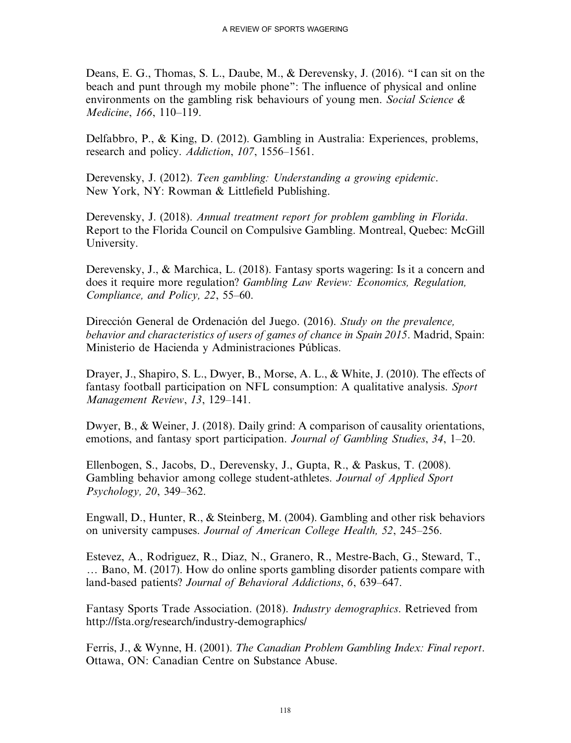Deans, E. G., Thomas, S. L., Daube, M., & Derevensky, J. (2016). ''I can sit on the beach and punt through my mobile phone'': The influence of physical and online environments on the gambling risk behaviours of young men. Social Science  $\&$ Medicine, 166, 110–119.

Delfabbro, P., & King, D. (2012). Gambling in Australia: Experiences, problems, research and policy. Addiction, 107, 1556–1561.

Derevensky, J. (2012). Teen gambling: Understanding a growing epidemic. New York, NY: Rowman & Littlefield Publishing.

Derevensky, J. (2018). Annual treatment report for problem gambling in Florida. Report to the Florida Council on Compulsive Gambling. Montreal, Quebec: McGill University.

Derevensky, J., & Marchica, L. (2018). Fantasy sports wagering: Is it a concern and does it require more regulation? Gambling Law Review: Economics, Regulation, Compliance, and Policy, 22, 55–60.

Dirección General de Ordenación del Juego. (2016). Study on the prevalence, behavior and characteristics of users of games of chance in Spain 2015. Madrid, Spain: Ministerio de Hacienda y Administraciones Públicas.

Drayer, J., Shapiro, S. L., Dwyer, B., Morse, A. L., & White, J. (2010). The effects of fantasy football participation on NFL consumption: A qualitative analysis. Sport Management Review, 13, 129–141.

Dwyer, B., & Weiner, J. (2018). Daily grind: A comparison of causality orientations, emotions, and fantasy sport participation. Journal of Gambling Studies, 34, 1–20.

Ellenbogen, S., Jacobs, D., Derevensky, J., Gupta, R., & Paskus, T. (2008). Gambling behavior among college student-athletes. Journal of Applied Sport Psychology, 20, 349–362.

Engwall, D., Hunter, R., & Steinberg, M. (2004). Gambling and other risk behaviors on university campuses. Journal of American College Health, 52, 245–256.

Estevez, A., Rodriguez, R., Diaz, N., Granero, R., Mestre-Bach, G., Steward, T.,  $\ldots$  Bano, M. (2017). How do online sports gambling disorder patients compare with land-based patients? Journal of Behavioral Addictions, 6, 639–647.

Fantasy Sports Trade Association. (2018). Industry demographics. Retrieved from <http://fsta.org/research/industry-demographics/>

Ferris, J., & Wynne, H. (2001). The Canadian Problem Gambling Index: Final report. Ottawa, ON: Canadian Centre on Substance Abuse.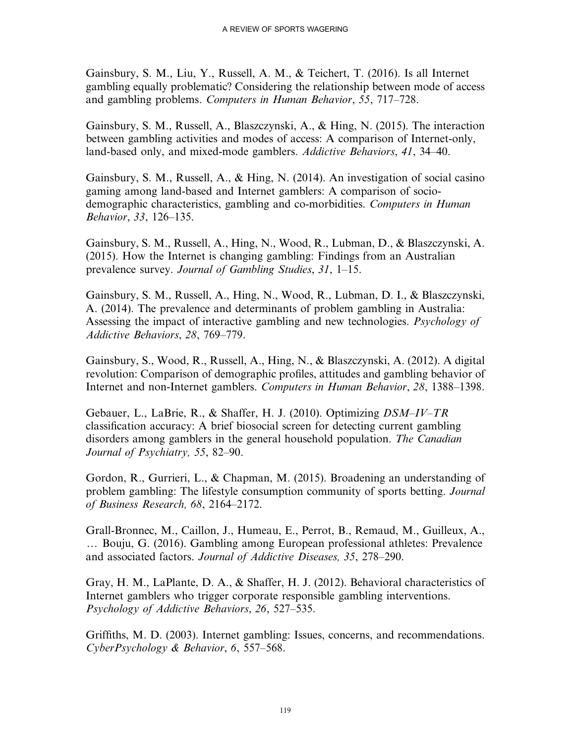Gainsbury, S. M., Liu, Y., Russell, A. M., & Teichert, T. (2016). Is all Internet gambling equally problematic? Considering the relationship between mode of access and gambling problems. Computers in Human Behavior, 55, 717–728.

Gainsbury, S. M., Russell, A., Blaszczynski, A., & Hing, N. (2015). The interaction between gambling activities and modes of access: A comparison of Internet-only, land-based only, and mixed-mode gamblers. Addictive Behaviors, 41, 34–40.

Gainsbury, S. M., Russell, A., & Hing, N. (2014). An investigation of social casino gaming among land-based and Internet gamblers: A comparison of sociodemographic characteristics, gambling and co-morbidities. Computers in Human Behavior, 33, 126–135.

Gainsbury, S. M., Russell, A., Hing, N., Wood, R., Lubman, D., & Blaszczynski, A. (2015). How the Internet is changing gambling: Findings from an Australian prevalence survey. Journal of Gambling Studies, 31, 1–15.

Gainsbury, S. M., Russell, A., Hing, N., Wood, R., Lubman, D. I., & Blaszczynski, A. (2014). The prevalence and determinants of problem gambling in Australia: Assessing the impact of interactive gambling and new technologies. Psychology of Addictive Behaviors, 28, 769–779.

Gainsbury, S., Wood, R., Russell, A., Hing, N., & Blaszczynski, A. (2012). A digital revolution: Comparison of demographic profiles, attitudes and gambling behavior of Internet and non-Internet gamblers. Computers in Human Behavior, 28, 1388–1398.

Gebauer, L., LaBrie, R., & Shaffer, H. J. (2010). Optimizing DSM–IV–TR classification accuracy: A brief biosocial screen for detecting current gambling disorders among gamblers in the general household population. The Canadian Journal of Psychiatry, 55, 82–90.

Gordon, R., Gurrieri, L., & Chapman, M. (2015). Broadening an understanding of problem gambling: The lifestyle consumption community of sports betting. Journal of Business Research, 68, 2164–2172.

Grall-Bronnec, M., Caillon, J., Humeau, E., Perrot, B., Remaud, M., Guilleux, A., ... Bouju, G. (2016). Gambling among European professional athletes: Prevalence and associated factors. Journal of Addictive Diseases, 35, 278–290.

Gray, H. M., LaPlante, D. A., & Shaffer, H. J. (2012). Behavioral characteristics of Internet gamblers who trigger corporate responsible gambling interventions. Psychology of Addictive Behaviors, 26, 527–535.

Griffiths, M. D. (2003). Internet gambling: Issues, concerns, and recommendations. CyberPsychology & Behavior, 6, 557–568.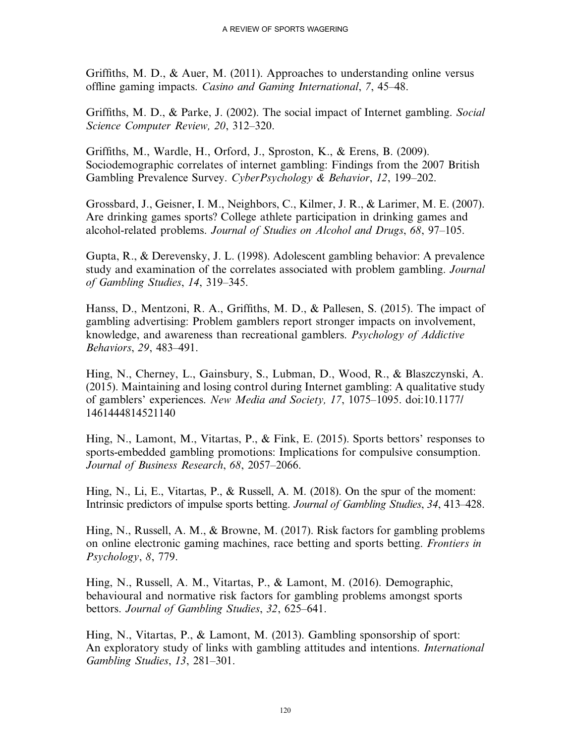Griffiths, M. D., & Auer, M. (2011). Approaches to understanding online versus offline gaming impacts. Casino and Gaming International, 7, 45–48.

Griffiths, M. D., & Parke, J. (2002). The social impact of Internet gambling. Social Science Computer Review, 20, 312–320.

Griffiths, M., Wardle, H., Orford, J., Sproston, K., & Erens, B. (2009). Sociodemographic correlates of internet gambling: Findings from the 2007 British Gambling Prevalence Survey. CyberPsychology & Behavior, 12, 199–202.

Grossbard, J., Geisner, I. M., Neighbors, C., Kilmer, J. R., & Larimer, M. E. (2007). Are drinking games sports? College athlete participation in drinking games and alcohol-related problems. Journal of Studies on Alcohol and Drugs, 68, 97–105.

Gupta, R., & Derevensky, J. L. (1998). Adolescent gambling behavior: A prevalence study and examination of the correlates associated with problem gambling. Journal of Gambling Studies, 14, 319–345.

Hanss, D., Mentzoni, R. A., Griffiths, M. D., & Pallesen, S. (2015). The impact of gambling advertising: Problem gamblers report stronger impacts on involvement, knowledge, and awareness than recreational gamblers. Psychology of Addictive Behaviors, 29, 483–491.

Hing, N., Cherney, L., Gainsbury, S., Lubman, D., Wood, R., & Blaszczynski, A. (2015). Maintaining and losing control during Internet gambling: A qualitative study of gamblers' experiences. New Media and Society, 17, 1075–1095. doi:10.1177/ 1461444814521140

Hing, N., Lamont, M., Vitartas, P., & Fink, E. (2015). Sports bettors' responses to sports-embedded gambling promotions: Implications for compulsive consumption. Journal of Business Research, 68, 2057–2066.

Hing, N., Li, E., Vitartas, P., & Russell, A. M. (2018). On the spur of the moment: Intrinsic predictors of impulse sports betting. Journal of Gambling Studies, 34, 413–428.

Hing, N., Russell, A. M., & Browne, M. (2017). Risk factors for gambling problems on online electronic gaming machines, race betting and sports betting. Frontiers in Psychology, 8, 779.

Hing, N., Russell, A. M., Vitartas, P., & Lamont, M. (2016). Demographic, behavioural and normative risk factors for gambling problems amongst sports bettors. Journal of Gambling Studies, 32, 625–641.

Hing, N., Vitartas, P., & Lamont, M. (2013). Gambling sponsorship of sport: An exploratory study of links with gambling attitudes and intentions. International Gambling Studies, 13, 281–301.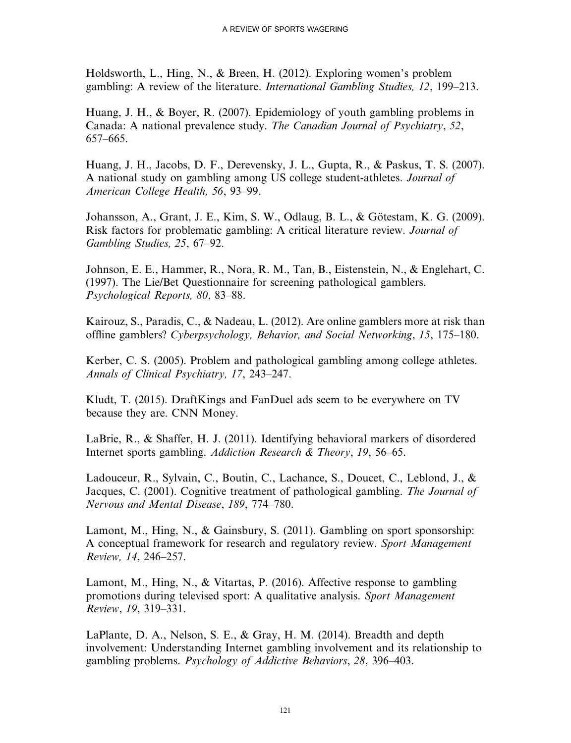Holdsworth, L., Hing, N., & Breen, H. (2012). Exploring women's problem gambling: A review of the literature. International Gambling Studies, 12, 199–213.

Huang, J. H., & Boyer, R. (2007). Epidemiology of youth gambling problems in Canada: A national prevalence study. The Canadian Journal of Psychiatry, 52, 657–665.

Huang, J. H., Jacobs, D. F., Derevensky, J. L., Gupta, R., & Paskus, T. S. (2007). A national study on gambling among US college student-athletes. Journal of American College Health, 56, 93–99.

Johansson, A., Grant, J. E., Kim, S. W., Odlaug, B. L., & Götestam, K. G. (2009). Risk factors for problematic gambling: A critical literature review. Journal of Gambling Studies, 25, 67–92.

Johnson, E. E., Hammer, R., Nora, R. M., Tan, B., Eistenstein, N., & Englehart, C. (1997). The Lie/Bet Questionnaire for screening pathological gamblers. Psychological Reports, 80, 83–88.

Kairouz, S., Paradis, C., & Nadeau, L. (2012). Are online gamblers more at risk than offline gamblers? Cyberpsychology, Behavior, and Social Networking, 15, 175–180.

Kerber, C. S. (2005). Problem and pathological gambling among college athletes. Annals of Clinical Psychiatry, 17, 243–247.

Kludt, T. (2015). DraftKings and FanDuel ads seem to be everywhere on TV because they are. CNN Money.

LaBrie, R., & Shaffer, H. J. (2011). Identifying behavioral markers of disordered Internet sports gambling. Addiction Research & Theory, 19, 56–65.

Ladouceur, R., Sylvain, C., Boutin, C., Lachance, S., Doucet, C., Leblond, J., & Jacques, C. (2001). Cognitive treatment of pathological gambling. The Journal of Nervous and Mental Disease, 189, 774–780.

Lamont, M., Hing, N., & Gainsbury, S. (2011). Gambling on sport sponsorship: A conceptual framework for research and regulatory review. Sport Management Review, 14, 246–257.

Lamont, M., Hing, N., & Vitartas, P. (2016). Affective response to gambling promotions during televised sport: A qualitative analysis. Sport Management Review, 19, 319–331.

LaPlante, D. A., Nelson, S. E., & Gray, H. M. (2014). Breadth and depth involvement: Understanding Internet gambling involvement and its relationship to gambling problems. Psychology of Addictive Behaviors, 28, 396–403.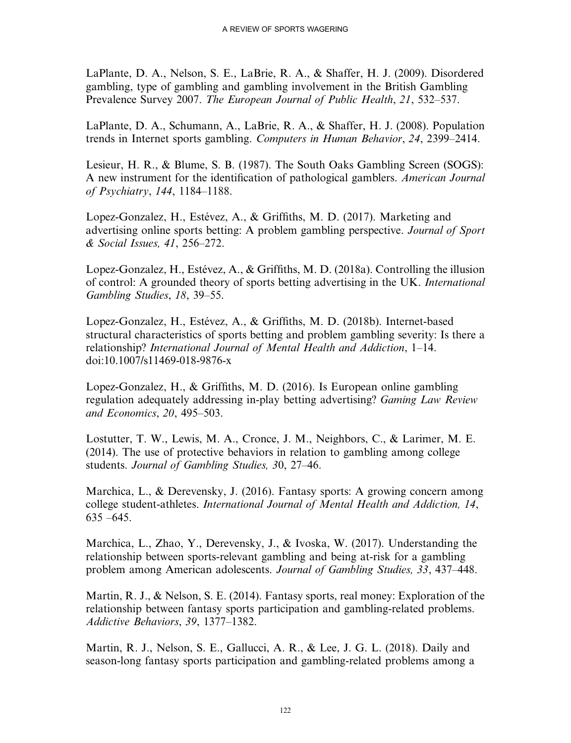LaPlante, D. A., Nelson, S. E., LaBrie, R. A., & Shaffer, H. J. (2009). Disordered gambling, type of gambling and gambling involvement in the British Gambling Prevalence Survey 2007. The European Journal of Public Health, 21, 532–537.

LaPlante, D. A., Schumann, A., LaBrie, R. A., & Shaffer, H. J. (2008). Population trends in Internet sports gambling. Computers in Human Behavior, 24, 2399–2414.

Lesieur, H. R., & Blume, S. B. (1987). The South Oaks Gambling Screen (SOGS): A new instrument for the identification of pathological gamblers. American Journal of Psychiatry, 144, 1184–1188.

Lopez-Gonzalez, H., Estévez, A., & Griffiths, M. D. (2017). Marketing and advertising online sports betting: A problem gambling perspective. Journal of Sport & Social Issues, 41, 256–272.

Lopez-Gonzalez, H., Estévez, A., & Griffiths, M. D. (2018a). Controlling the illusion of control: A grounded theory of sports betting advertising in the UK. International Gambling Studies, 18, 39–55.

Lopez-Gonzalez, H., Estévez, A., & Griffiths, M. D. (2018b). Internet-based structural characteristics of sports betting and problem gambling severity: Is there a relationship? International Journal of Mental Health and Addiction, 1–14. doi:10.1007/s11469-018-9876-x

Lopez-Gonzalez, H., & Griffiths, M. D. (2016). Is European online gambling regulation adequately addressing in-play betting advertising? Gaming Law Review and Economics, 20, 495–503.

Lostutter, T. W., Lewis, M. A., Cronce, J. M., Neighbors, C., & Larimer, M. E. (2014). The use of protective behaviors in relation to gambling among college students. Journal of Gambling Studies, 30, 27–46.

Marchica, L., & Derevensky, J. (2016). Fantasy sports: A growing concern among college student-athletes. International Journal of Mental Health and Addiction, 14,  $635 - 645$ .

Marchica, L., Zhao, Y., Derevensky, J., & Ivoska, W. (2017). Understanding the relationship between sports-relevant gambling and being at-risk for a gambling problem among American adolescents. Journal of Gambling Studies, 33, 437–448.

Martin, R. J., & Nelson, S. E. (2014). Fantasy sports, real money: Exploration of the relationship between fantasy sports participation and gambling-related problems. Addictive Behaviors, 39, 1377–1382.

Martin, R. J., Nelson, S. E., Gallucci, A. R., & Lee, J. G. L. (2018). Daily and season-long fantasy sports participation and gambling-related problems among a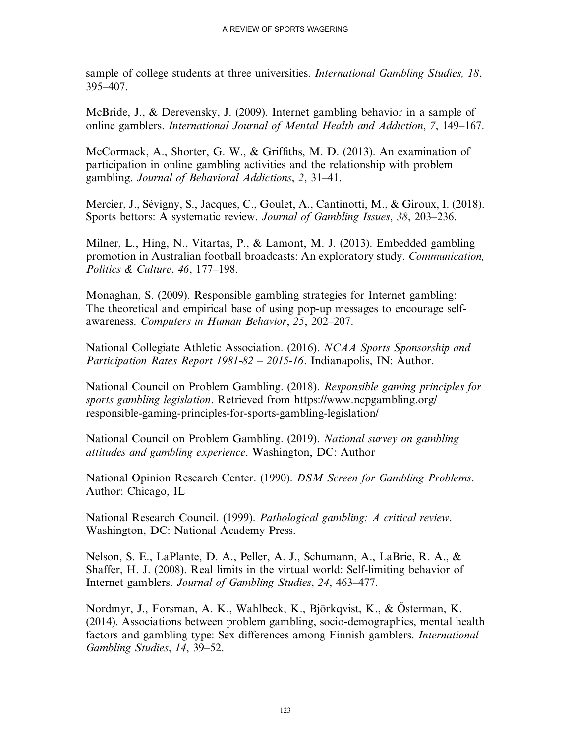sample of college students at three universities. *International Gambling Studies*, 18, 395–407.

McBride, J., & Derevensky, J. (2009). Internet gambling behavior in a sample of online gamblers. International Journal of Mental Health and Addiction, 7, 149–167.

McCormack, A., Shorter, G. W., & Griffiths, M. D. (2013). An examination of participation in online gambling activities and the relationship with problem gambling. Journal of Behavioral Addictions, 2, 31–41.

Mercier, J., Sévigny, S., Jacques, C., Goulet, A., Cantinotti, M., & Giroux, I. (2018). Sports bettors: A systematic review. Journal of Gambling Issues, 38, 203–236.

Milner, L., Hing, N., Vitartas, P., & Lamont, M. J. (2013). Embedded gambling promotion in Australian football broadcasts: An exploratory study. Communication, Politics & Culture, 46, 177–198.

Monaghan, S. (2009). Responsible gambling strategies for Internet gambling: The theoretical and empirical base of using pop-up messages to encourage selfawareness. Computers in Human Behavior, 25, 202–207.

National Collegiate Athletic Association. (2016). NCAA Sports Sponsorship and Participation Rates Report 1981-82 – 2015-16. Indianapolis, IN: Author.

National Council on Problem Gambling. (2018). Responsible gaming principles for sports gambling legislation. Retrieved from [https://www.ncpgambling.org/](https://www.ncpgambling.org/responsible-gaming-principles-for-sports-gambling-legislation/) [responsible-gaming-principles-for-sports-gambling-legislation/](https://www.ncpgambling.org/responsible-gaming-principles-for-sports-gambling-legislation/)

National Council on Problem Gambling. (2019). National survey on gambling attitudes and gambling experience. Washington, DC: Author

National Opinion Research Center. (1990). DSM Screen for Gambling Problems. Author: Chicago, IL

National Research Council. (1999). Pathological gambling: A critical review. Washington, DC: National Academy Press.

Nelson, S. E., LaPlante, D. A., Peller, A. J., Schumann, A., LaBrie, R. A., & Shaffer, H. J. (2008). Real limits in the virtual world: Self-limiting behavior of Internet gamblers. Journal of Gambling Studies, 24, 463–477.

Nordmyr, J., Forsman, A. K., Wahlbeck, K., Björkqvist, K., & Österman, K. (2014). Associations between problem gambling, socio-demographics, mental health factors and gambling type: Sex differences among Finnish gamblers. International Gambling Studies, 14, 39–52.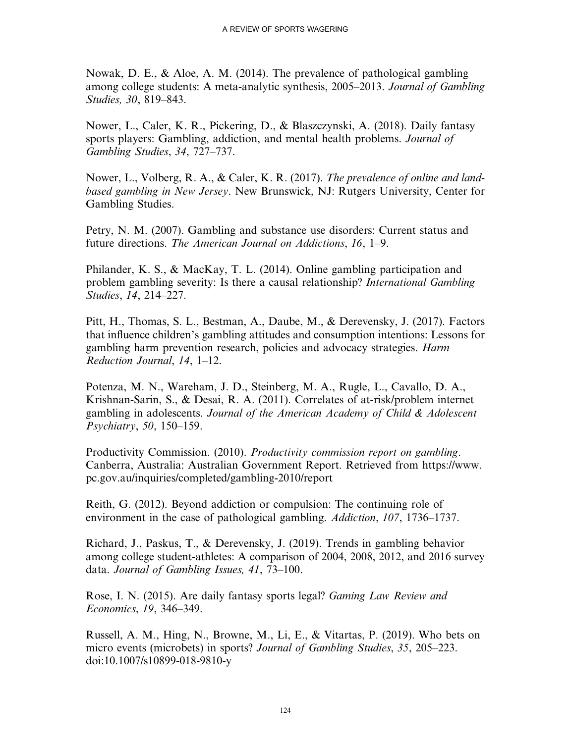Nowak, D. E., & Aloe, A. M. (2014). The prevalence of pathological gambling among college students: A meta-analytic synthesis, 2005–2013. Journal of Gambling Studies, 30, 819–843.

Nower, L., Caler, K. R., Pickering, D., & Blaszczynski, A. (2018). Daily fantasy sports players: Gambling, addiction, and mental health problems. Journal of Gambling Studies, 34, 727–737.

Nower, L., Volberg, R. A., & Caler, K. R. (2017). The prevalence of online and landbased gambling in New Jersey. New Brunswick, NJ: Rutgers University, Center for Gambling Studies.

Petry, N. M. (2007). Gambling and substance use disorders: Current status and future directions. The American Journal on Addictions, 16, 1–9.

Philander, K. S., & MacKay, T. L. (2014). Online gambling participation and problem gambling severity: Is there a causal relationship? International Gambling Studies, 14, 214–227.

Pitt, H., Thomas, S. L., Bestman, A., Daube, M., & Derevensky, J. (2017). Factors that influence children's gambling attitudes and consumption intentions: Lessons for gambling harm prevention research, policies and advocacy strategies. Harm Reduction Journal, 14, 1–12.

Potenza, M. N., Wareham, J. D., Steinberg, M. A., Rugle, L., Cavallo, D. A., Krishnan-Sarin, S., & Desai, R. A. (2011). Correlates of at-risk/problem internet gambling in adolescents. Journal of the American Academy of Child & Adolescent Psychiatry, 50, 150–159.

Productivity Commission. (2010). Productivity commission report on gambling. Canberra, Australia: Australian Government Report. Retrieved from [https://www.](https://www.pc.gov.au/inquiries/completed/gambling-2010/report) [pc.gov.au/inquiries/completed/gambling-2010/report](https://www.pc.gov.au/inquiries/completed/gambling-2010/report)

Reith, G. (2012). Beyond addiction or compulsion: The continuing role of environment in the case of pathological gambling. Addiction, 107, 1736–1737.

Richard, J., Paskus, T., & Derevensky, J. (2019). Trends in gambling behavior among college student-athletes: A comparison of 2004, 2008, 2012, and 2016 survey data. Journal of Gambling Issues, 41, 73-100.

Rose, I. N. (2015). Are daily fantasy sports legal? Gaming Law Review and Economics, 19, 346–349.

Russell, A. M., Hing, N., Browne, M., Li, E., & Vitartas, P. (2019). Who bets on micro events (microbets) in sports? Journal of Gambling Studies, 35, 205–223. doi:10.1007/s10899-018-9810-y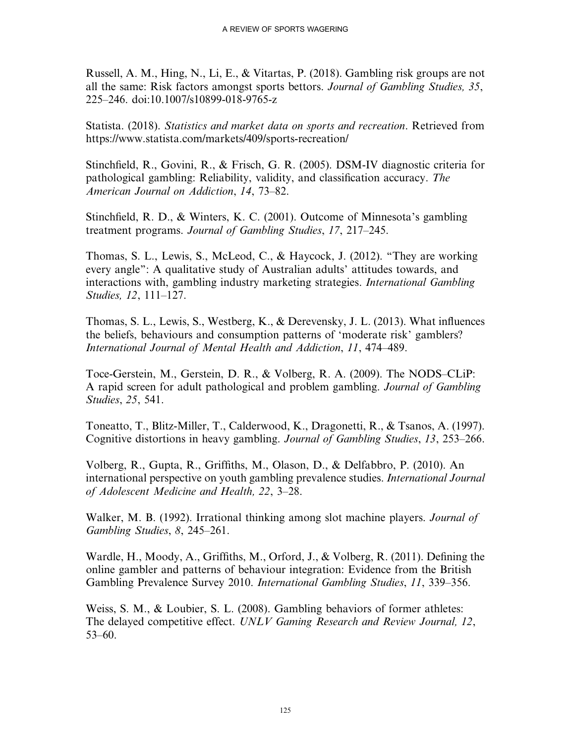Russell, A. M., Hing, N., Li, E., & Vitartas, P. (2018). Gambling risk groups are not all the same: Risk factors amongst sports bettors. Journal of Gambling Studies, 35, 225–246. doi:10.1007/s10899-018-9765-z

Statista. (2018). Statistics and market data on sports and recreation. Retrieved from <https://www.statista.com/markets/409/sports-recreation/>

Stinchfield, R., Govini, R., & Frisch, G. R. (2005). DSM-IV diagnostic criteria for pathological gambling: Reliability, validity, and classification accuracy. The American Journal on Addiction, 14, 73–82.

Stinchfield, R. D., & Winters, K. C. (2001). Outcome of Minnesota's gambling treatment programs. Journal of Gambling Studies, 17, 217–245.

Thomas, S. L., Lewis, S., McLeod, C., & Haycock, J. (2012). ''They are working every angle'': A qualitative study of Australian adults' attitudes towards, and interactions with, gambling industry marketing strategies. International Gambling Studies, 12, 111–127.

Thomas, S. L., Lewis, S., Westberg, K., & Derevensky, J. L. (2013). What influences the beliefs, behaviours and consumption patterns of 'moderate risk' gamblers? International Journal of Mental Health and Addiction, 11, 474–489.

Toce-Gerstein, M., Gerstein, D. R., & Volberg, R. A. (2009). The NODS–CLiP: A rapid screen for adult pathological and problem gambling. Journal of Gambling Studies, 25, 541.

Toneatto, T., Blitz-Miller, T., Calderwood, K., Dragonetti, R., & Tsanos, A. (1997). Cognitive distortions in heavy gambling. Journal of Gambling Studies, 13, 253–266.

Volberg, R., Gupta, R., Griffiths, M., Olason, D., & Delfabbro, P. (2010). An international perspective on youth gambling prevalence studies. International Journal of Adolescent Medicine and Health, 22, 3–28.

Walker, M. B. (1992). Irrational thinking among slot machine players. *Journal of* Gambling Studies, 8, 245–261.

Wardle, H., Moody, A., Griffiths, M., Orford, J., & Volberg, R. (2011). Defining the online gambler and patterns of behaviour integration: Evidence from the British Gambling Prevalence Survey 2010. International Gambling Studies, 11, 339–356.

Weiss, S. M., & Loubier, S. L. (2008). Gambling behaviors of former athletes: The delayed competitive effect. UNLV Gaming Research and Review Journal, 12, 53–60.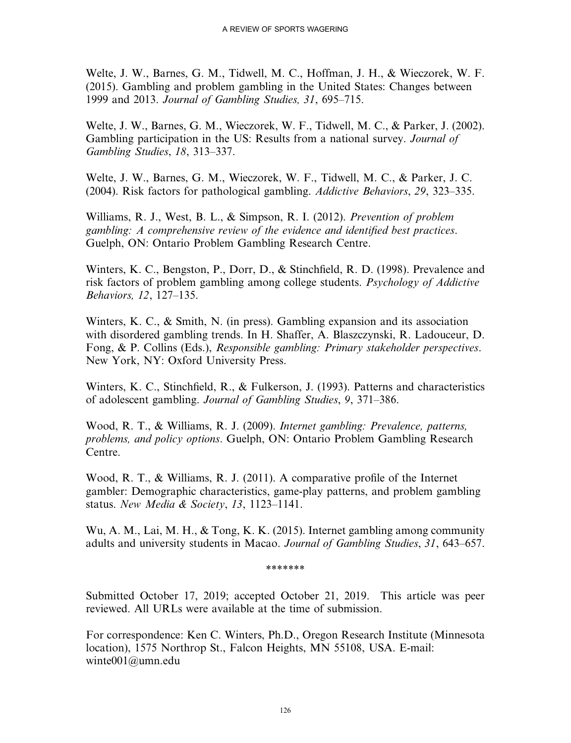Welte, J. W., Barnes, G. M., Tidwell, M. C., Hoffman, J. H., & Wieczorek, W. F. (2015). Gambling and problem gambling in the United States: Changes between 1999 and 2013. Journal of Gambling Studies, 31, 695–715.

Welte, J. W., Barnes, G. M., Wieczorek, W. F., Tidwell, M. C., & Parker, J. (2002). Gambling participation in the US: Results from a national survey. Journal of Gambling Studies, 18, 313–337.

Welte, J. W., Barnes, G. M., Wieczorek, W. F., Tidwell, M. C., & Parker, J. C. (2004). Risk factors for pathological gambling. Addictive Behaviors, 29, 323–335.

Williams, R. J., West, B. L., & Simpson, R. I. (2012). *Prevention of problem* gambling: A comprehensive review of the evidence and identified best practices. Guelph, ON: Ontario Problem Gambling Research Centre.

Winters, K. C., Bengston, P., Dorr, D., & Stinchfield, R. D. (1998). Prevalence and risk factors of problem gambling among college students. Psychology of Addictive Behaviors, 12, 127–135.

Winters, K. C., & Smith, N. (in press). Gambling expansion and its association with disordered gambling trends. In H. Shaffer, A. Blaszczynski, R. Ladouceur, D. Fong, & P. Collins (Eds.), Responsible gambling: Primary stakeholder perspectives. New York, NY: Oxford University Press.

Winters, K. C., Stinchfield, R., & Fulkerson, J. (1993). Patterns and characteristics of adolescent gambling. Journal of Gambling Studies, 9, 371–386.

Wood, R. T., & Williams, R. J. (2009). Internet gambling: Prevalence, patterns, problems, and policy options. Guelph, ON: Ontario Problem Gambling Research Centre.

Wood, R. T., & Williams, R. J. (2011). A comparative profile of the Internet gambler: Demographic characteristics, game-play patterns, and problem gambling status. New Media & Society, 13, 1123-1141.

Wu, A. M., Lai, M. H., & Tong, K. K. (2015). Internet gambling among community adults and university students in Macao. Journal of Gambling Studies, 31, 643–657.

\*\*\*\*\*\*\*

Submitted October 17, 2019; accepted October 21, 2019. This article was peer reviewed. All URLs were available at the time of submission.

For correspondence: Ken C. Winters, Ph.D., Oregon Research Institute (Minnesota location), 1575 Northrop St., Falcon Heights, MN 55108, USA. E-mail: [winte001@umn.edu](mailto:winte001@umn.edu)